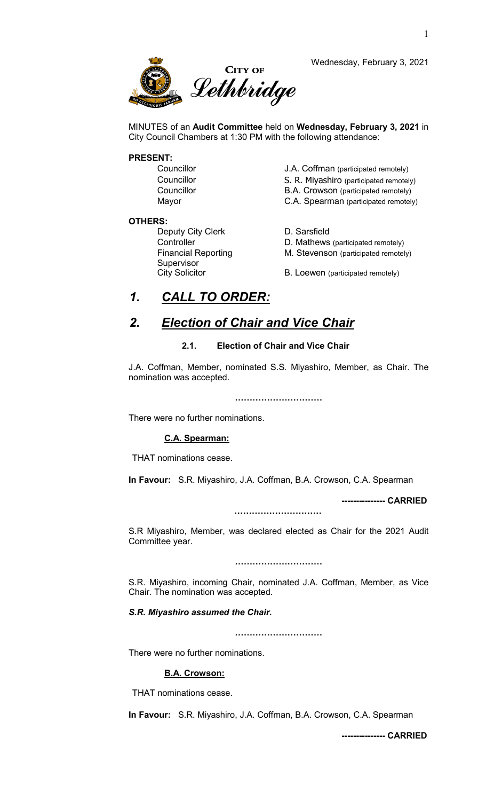

Wednesday, February 3, 2021

MINUTES of an **Audit Committee** held on **Wednesday, February 3, 2021** in City Council Chambers at 1:30 PM with the following attendance:

#### **PRESENT:**

Councillor **Councillor** J.A. Coffman (participated remotely) Councillor S. R. Miyashiro (participated remotely)<br>Councillor Gouncillor B.A. Crowson (participated remotely) B.A. Crowson (participated remotely) Mayor **Mayor** C.A. Spearman (participated remotely)

#### **OTHERS:**

Deputy City Clerk D. Sarsfield Financial Reporting Supervisor<br>City Solicitor

Controller **Controller** D. Mathews (participated remotely)

M. Stevenson (participated remotely)

B. Loewen (participated remotely)

### *1. CALL TO ORDER:*

### *2. Election of Chair and Vice Chair*

#### **2.1. Election of Chair and Vice Chair**

J.A. Coffman, Member, nominated S.S. Miyashiro, Member, as Chair. The nomination was accepted.

**…………………………**

There were no further nominations.

#### **C.A. Spearman:**

THAT nominations cease.

**In Favour:** S.R. Miyashiro, J.A. Coffman, B.A. Crowson, C.A. Spearman

**--------------- CARRIED**

S.R Miyashiro, Member, was declared elected as Chair for the 2021 Audit Committee year.

**…………………………**

**…………………………**

S.R. Miyashiro, incoming Chair, nominated J.A. Coffman, Member, as Vice Chair. The nomination was accepted.

#### *S.R. Miyashiro assumed the Chair.*

**…………………………**

There were no further nominations.

#### **B.A. Crowson:**

THAT nominations cease.

**In Favour:** S.R. Miyashiro, J.A. Coffman, B.A. Crowson, C.A. Spearman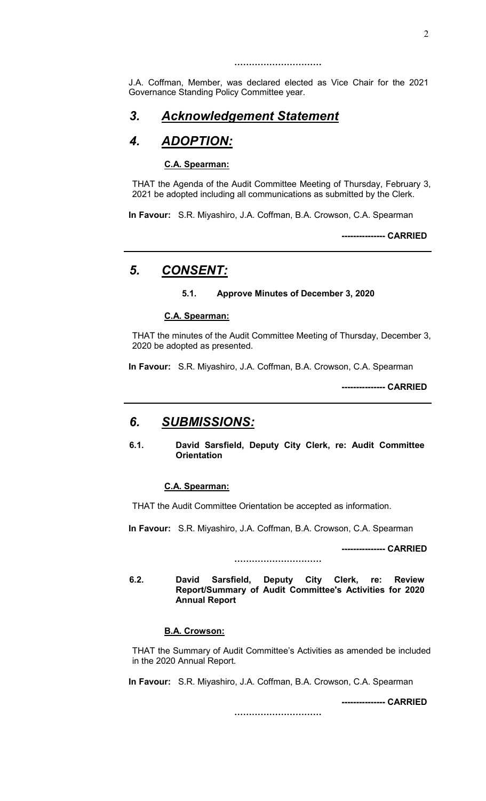**…………………………**

J.A. Coffman, Member, was declared elected as Vice Chair for the 2021 Governance Standing Policy Committee year.

### *3. Acknowledgement Statement*

### *4. ADOPTION:*

#### **C.A. Spearman:**

THAT the Agenda of the Audit Committee Meeting of Thursday, February 3, 2021 be adopted including all communications as submitted by the Clerk.

**In Favour:** S.R. Miyashiro, J.A. Coffman, B.A. Crowson, C.A. Spearman

**--------------- CARRIED**

# *5. CONSENT:*

#### **5.1. Approve Minutes of December 3, 2020**

#### **C.A. Spearman:**

THAT the minutes of the Audit Committee Meeting of Thursday, December 3, 2020 be adopted as presented.

**In Favour:** S.R. Miyashiro, J.A. Coffman, B.A. Crowson, C.A. Spearman

**--------------- CARRIED**

### *6. SUBMISSIONS:*

**6.1. David Sarsfield, Deputy City Clerk, re: Audit Committee Orientation**

#### **C.A. Spearman:**

THAT the Audit Committee Orientation be accepted as information.

**In Favour:** S.R. Miyashiro, J.A. Coffman, B.A. Crowson, C.A. Spearman

**--------------- CARRIED**

**6.2. David Sarsfield, Deputy City Clerk, re: Review Report/Summary of Audit Committee's Activities for 2020 Annual Report**

**…………………………**

### **B.A. Crowson:**

THAT the Summary of Audit Committee's Activities as amended be included in the 2020 Annual Report.

**In Favour:** S.R. Miyashiro, J.A. Coffman, B.A. Crowson, C.A. Spearman

**--------------- CARRIED …………………………**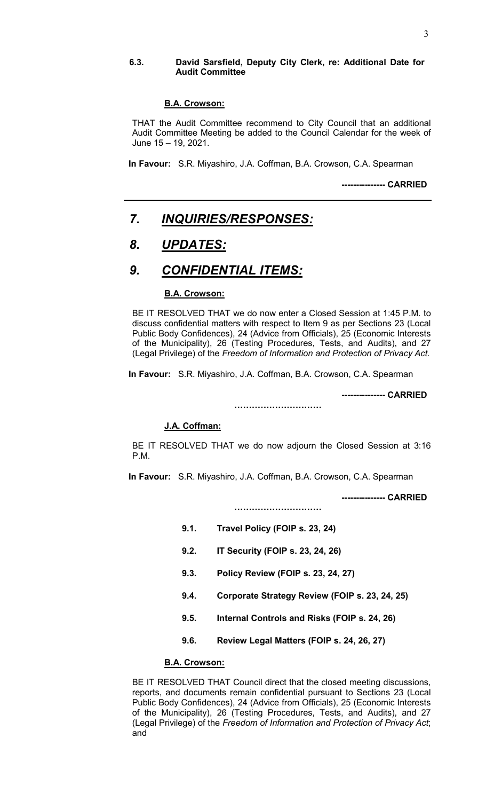#### **6.3. David Sarsfield, Deputy City Clerk, re: Additional Date for Audit Committee**

#### **B.A. Crowson:**

THAT the Audit Committee recommend to City Council that an additional Audit Committee Meeting be added to the Council Calendar for the week of June 15 – 19, 2021.

**In Favour:** S.R. Miyashiro, J.A. Coffman, B.A. Crowson, C.A. Spearman

**--------------- CARRIED**

# *7. INQUIRIES/RESPONSES:*

# *8. UPDATES:*

### *9. CONFIDENTIAL ITEMS:*

#### **B.A. Crowson:**

BE IT RESOLVED THAT we do now enter a Closed Session at 1:45 P.M. to discuss confidential matters with respect to Item 9 as per Sections 23 (Local Public Body Confidences), 24 (Advice from Officials), 25 (Economic Interests of the Municipality), 26 (Testing Procedures, Tests, and Audits), and 27 (Legal Privilege) of the *Freedom of Information and Protection of Privacy Act.*

**In Favour:** S.R. Miyashiro, J.A. Coffman, B.A. Crowson, C.A. Spearman

**--------------- CARRIED**

**…………………………**

#### **J.A. Coffman:**

BE IT RESOLVED THAT we do now adjourn the Closed Session at 3:16 P.M.

**In Favour:** S.R. Miyashiro, J.A. Coffman, B.A. Crowson, C.A. Spearman

**…………………………**

**--------------- CARRIED**

- **9.1. Travel Policy (FOIP s. 23, 24)**
- **9.2. IT Security (FOIP s. 23, 24, 26)**
- **9.3. Policy Review (FOIP s. 23, 24, 27)**
- **9.4. Corporate Strategy Review (FOIP s. 23, 24, 25)**
- **9.5. Internal Controls and Risks (FOIP s. 24, 26)**
- **9.6. Review Legal Matters (FOIP s. 24, 26, 27)**

#### **B.A. Crowson:**

BE IT RESOLVED THAT Council direct that the closed meeting discussions, reports, and documents remain confidential pursuant to Sections 23 (Local Public Body Confidences), 24 (Advice from Officials), 25 (Economic Interests of the Municipality), 26 (Testing Procedures, Tests, and Audits), and 27 (Legal Privilege) of the *Freedom of Information and Protection of Privacy Act*; and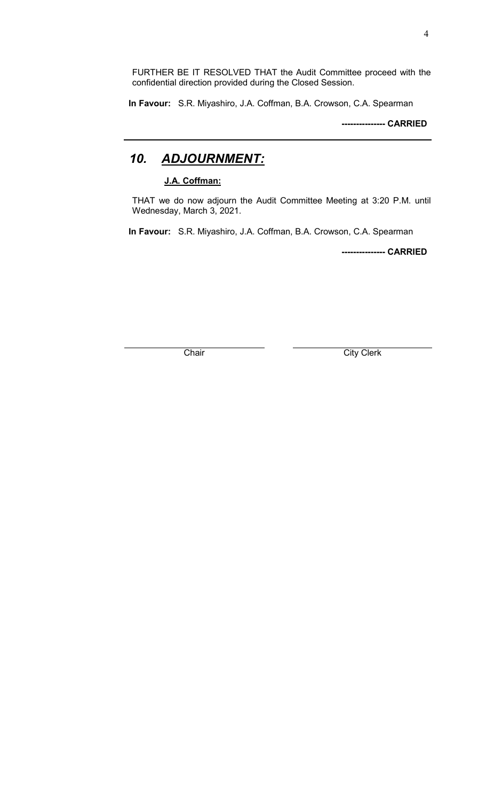FURTHER BE IT RESOLVED THAT the Audit Committee proceed with the confidential direction provided during the Closed Session.

**In Favour:** S.R. Miyashiro, J.A. Coffman, B.A. Crowson, C.A. Spearman

**--------------- CARRIED**

# *10. ADJOURNMENT:*

#### **J.A. Coffman:**

THAT we do now adjourn the Audit Committee Meeting at 3:20 P.M. until Wednesday, March 3, 2021.

**In Favour:** S.R. Miyashiro, J.A. Coffman, B.A. Crowson, C.A. Spearman

**--------------- CARRIED**

Chair Chair City Clerk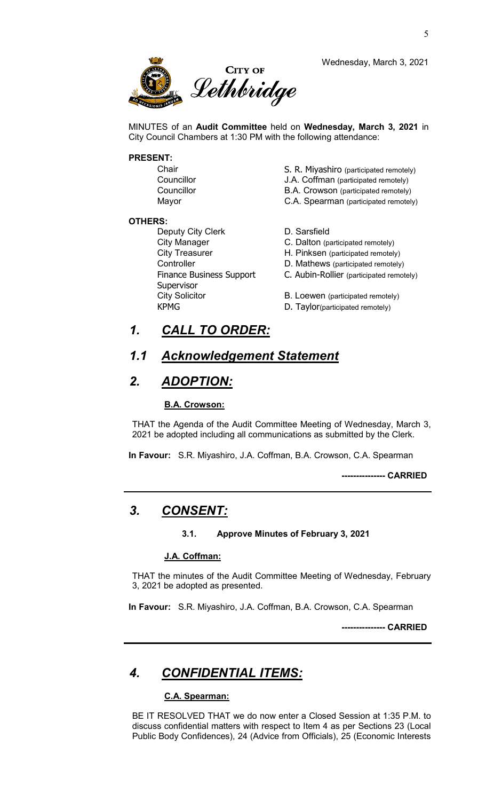

Wednesday, March 3, 2021

MINUTES of an **Audit Committee** held on **Wednesday, March 3, 2021** in City Council Chambers at 1:30 PM with the following attendance:

#### **PRESENT:**

#### **OTHERS:**

- Deputy City Clerk D. Sarsfield Controller **Controller** D. Mathews (participated remotely) Finance Business Support Supervisor<br>City Solicitor
- Chair **S. R. Miyashiro** (participated remotely)<br>Councillor J.A. Coffman (participated remotely) Councillor J.A. Coffman (participated remotely) B.A. Crowson (participated remotely) Mayor **Mayor** C.A. Spearman (participated remotely)
	-
- City Manager **C. Dalton (participated remotely)**
- City Treasurer **H. Pinksen** (participated remotely)
	-
	- C. Aubin-Rollier (participated remotely)
	- B. Loewen (participated remotely)
- KPMG **D. Taylor**(participated remotely)

### *1. CALL TO ORDER:*

### *1.1 Acknowledgement Statement*

### *2. ADOPTION:*

#### **B.A. Crowson:**

THAT the Agenda of the Audit Committee Meeting of Wednesday, March 3, 2021 be adopted including all communications as submitted by the Clerk.

**In Favour:** S.R. Miyashiro, J.A. Coffman, B.A. Crowson, C.A. Spearman

**--------------- CARRIED**

### *3. CONSENT:*

#### **3.1. Approve Minutes of February 3, 2021**

#### **J.A. Coffman:**

THAT the minutes of the Audit Committee Meeting of Wednesday, February 3, 2021 be adopted as presented.

**In Favour:** S.R. Miyashiro, J.A. Coffman, B.A. Crowson, C.A. Spearman

**--------------- CARRIED**

### *4. CONFIDENTIAL ITEMS:*

### **C.A. Spearman:**

BE IT RESOLVED THAT we do now enter a Closed Session at 1:35 P.M. to discuss confidential matters with respect to Item 4 as per Sections 23 (Local Public Body Confidences), 24 (Advice from Officials), 25 (Economic Interests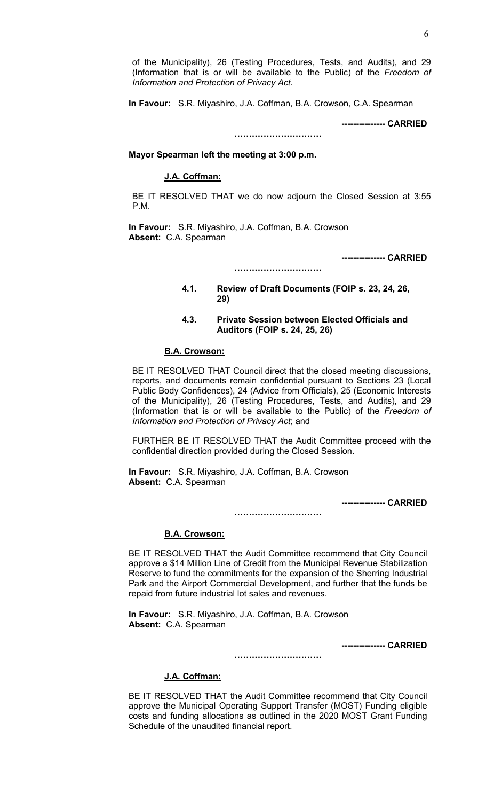of the Municipality), 26 (Testing Procedures, Tests, and Audits), and 29 (Information that is or will be available to the Public) of the *Freedom of Information and Protection of Privacy Act.*

**In Favour:** S.R. Miyashiro, J.A. Coffman, B.A. Crowson, C.A. Spearman

**--------------- CARRIED**

#### **…………………………**

#### **Mayor Spearman left the meeting at 3:00 p.m.**

#### **J.A. Coffman:**

BE IT RESOLVED THAT we do now adjourn the Closed Session at 3:55 P.M.

**…………………………**

**In Favour:** S.R. Miyashiro, J.A. Coffman, B.A. Crowson **Absent:** C.A. Spearman

**--------------- CARRIED**

**4.1. Review of Draft Documents (FOIP s. 23, 24, 26, 29)**

#### **4.3. Private Session between Elected Officials and Auditors (FOIP s. 24, 25, 26)**

#### **B.A. Crowson:**

BE IT RESOLVED THAT Council direct that the closed meeting discussions, reports, and documents remain confidential pursuant to Sections 23 (Local Public Body Confidences), 24 (Advice from Officials), 25 (Economic Interests of the Municipality), 26 (Testing Procedures, Tests, and Audits), and 29 (Information that is or will be available to the Public) of the *Freedom of Information and Protection of Privacy Act*; and

FURTHER BE IT RESOLVED THAT the Audit Committee proceed with the confidential direction provided during the Closed Session.

**In Favour:** S.R. Miyashiro, J.A. Coffman, B.A. Crowson **Absent:** C.A. Spearman

**--------------- CARRIED**

#### **B.A. Crowson:**

BE IT RESOLVED THAT the Audit Committee recommend that City Council approve a \$14 Million Line of Credit from the Municipal Revenue Stabilization Reserve to fund the commitments for the expansion of the Sherring Industrial Park and the Airport Commercial Development, and further that the funds be repaid from future industrial lot sales and revenues.

**…………………………**

**In Favour:** S.R. Miyashiro, J.A. Coffman, B.A. Crowson **Absent:** C.A. Spearman

**--------------- CARRIED**

#### **J.A. Coffman:**

BE IT RESOLVED THAT the Audit Committee recommend that City Council approve the Municipal Operating Support Transfer (MOST) Funding eligible costs and funding allocations as outlined in the 2020 MOST Grant Funding Schedule of the unaudited financial report.

**…………………………**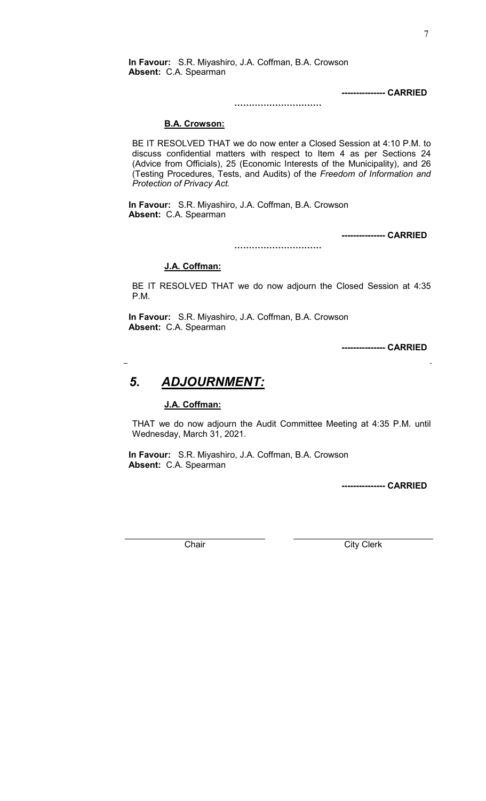**In Favour:** S.R. Miyashiro, J.A. Coffman, B.A. Crowson **Absent:** C.A. Spearman

**--------------- CARRIED**

#### **…………………………**

#### **B.A. Crowson:**

BE IT RESOLVED THAT we do now enter a Closed Session at 4:10 P.M. to discuss confidential matters with respect to Item 4 as per Sections 24 (Advice from Officials), 25 (Economic Interests of the Municipality), and 26 (Testing Procedures, Tests, and Audits) of the *Freedom of Information and Protection of Privacy Act.*

**In Favour:** S.R. Miyashiro, J.A. Coffman, B.A. Crowson **Absent:** C.A. Spearman

**--------------- CARRIED**

#### **J.A. Coffman:**

BE IT RESOLVED THAT we do now adjourn the Closed Session at 4:35 P.M.

**…………………………**

**In Favour:** S.R. Miyashiro, J.A. Coffman, B.A. Crowson **Absent:** C.A. Spearman

**--------------- CARRIED**

# *5. ADJOURNMENT:*

#### **J.A. Coffman:**

THAT we do now adjourn the Audit Committee Meeting at 4:35 P.M. until Wednesday, March 31, 2021.

**In Favour:** S.R. Miyashiro, J.A. Coffman, B.A. Crowson **Absent:** C.A. Spearman

**--------------- CARRIED**

Chair Chair Chair Chair Chair Chair Chair Chair Chair Chair Chair Chair Chair Chair Chair Chair Chair Chair Chair Chair Chair Chair Chair Chair Chair Chair Chair Chair Chair Chair Chair Chair Chair Chair Chair Chair Chair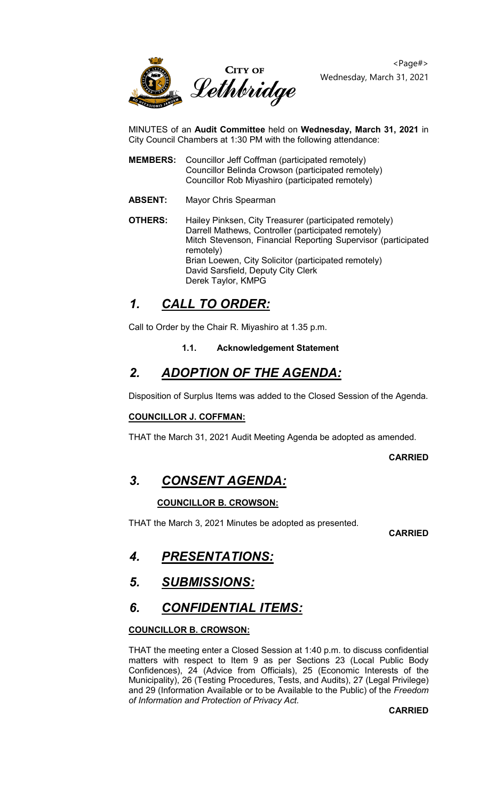

MINUTES of an **Audit Committee** held on **Wednesday, March 31, 2021** in City Council Chambers at 1:30 PM with the following attendance:

- **MEMBERS:** Councillor Jeff Coffman (participated remotely) Councillor Belinda Crowson (participated remotely) Councillor Rob Miyashiro (participated remotely)
- **ABSENT:** Mayor Chris Spearman
- **OTHERS:** Hailey Pinksen, City Treasurer (participated remotely) Darrell Mathews, Controller (participated remotely) Mitch Stevenson, Financial Reporting Supervisor (participated remotely) Brian Loewen, City Solicitor (participated remotely) David Sarsfield, Deputy City Clerk Derek Taylor, KMPG

# *1. CALL TO ORDER:*

Call to Order by the Chair R. Miyashiro at 1.35 p.m.

### **1.1. Acknowledgement Statement**

# *2. ADOPTION OF THE AGENDA:*

Disposition of Surplus Items was added to the Closed Session of the Agenda.

### **COUNCILLOR J. COFFMAN:**

THAT the March 31, 2021 Audit Meeting Agenda be adopted as amended.

#### **CARRIED**

# *3. CONSENT AGENDA:*

### **COUNCILLOR B. CROWSON:**

THAT the March 3, 2021 Minutes be adopted as presented.

**CARRIED**

# *4. PRESENTATIONS:*

# *5. SUBMISSIONS:*

# *6. CONFIDENTIAL ITEMS:*

### **COUNCILLOR B. CROWSON:**

THAT the meeting enter a Closed Session at 1:40 p.m. to discuss confidential matters with respect to Item 9 as per Sections 23 (Local Public Body Confidences), 24 (Advice from Officials), 25 (Economic Interests of the Municipality), 26 (Testing Procedures, Tests, and Audits), 27 (Legal Privilege) and 29 (Information Available or to be Available to the Public) of the *Freedom of Information and Protection of Privacy Act.*

**CARRIED**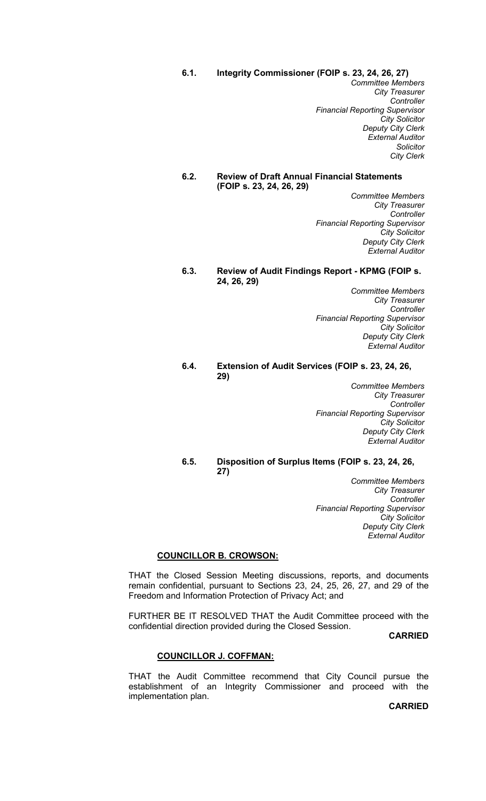#### **6.1. Integrity Commissioner (FOIP s. 23, 24, 26, 27)**

*Committee Members City Treasurer Controller Financial Reporting Supervisor City Solicitor Deputy City Clerk External Auditor Solicitor City Clerk*

#### **6.2. Review of Draft Annual Financial Statements (FOIP s. 23, 24, 26, 29)**

*Committee Members City Treasurer Controller Financial Reporting Supervisor City Solicitor Deputy City Clerk External Auditor*

#### **6.3. Review of Audit Findings Report - KPMG (FOIP s. 24, 26, 29)**

*Committee Members City Treasurer Controller Financial Reporting Supervisor City Solicitor Deputy City Clerk External Auditor*

#### **6.4. Extension of Audit Services (FOIP s. 23, 24, 26, 29)**

*Committee Members City Treasurer Controller Financial Reporting Supervisor City Solicitor Deputy City Clerk External Auditor*

#### **6.5. Disposition of Surplus Items (FOIP s. 23, 24, 26, 27)**

*Committee Members City Treasurer Controller Financial Reporting Supervisor City Solicitor Deputy City Clerk External Auditor*

#### **COUNCILLOR B. CROWSON:**

THAT the Closed Session Meeting discussions, reports, and documents remain confidential, pursuant to Sections 23, 24, 25, 26, 27, and 29 of the Freedom and Information Protection of Privacy Act; and

FURTHER BE IT RESOLVED THAT the Audit Committee proceed with the confidential direction provided during the Closed Session.

#### **CARRIED**

#### **COUNCILLOR J. COFFMAN:**

THAT the Audit Committee recommend that City Council pursue the establishment of an Integrity Commissioner and proceed with the implementation plan.

**CARRIED**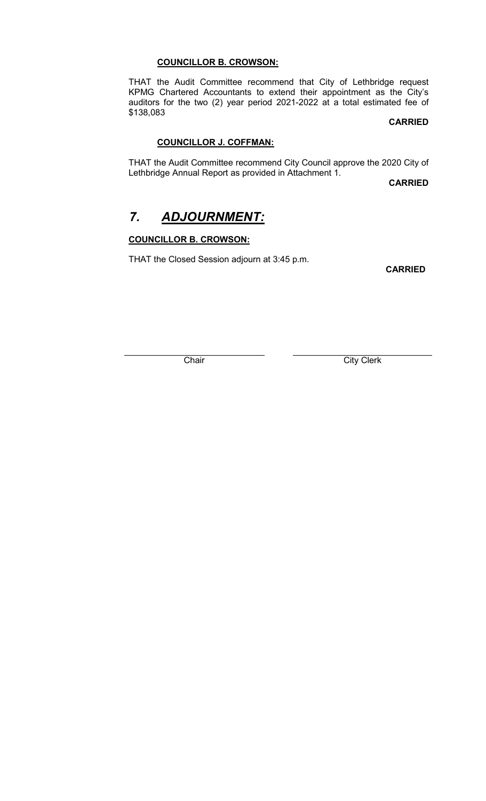#### **COUNCILLOR B. CROWSON:**

THAT the Audit Committee recommend that City of Lethbridge request KPMG Chartered Accountants to extend their appointment as the City's auditors for the two (2) year period 2021-2022 at a total estimated fee of \$138,083

#### **CARRIED**

### **COUNCILLOR J. COFFMAN:**

THAT the Audit Committee recommend City Council approve the 2020 City of Lethbridge Annual Report as provided in Attachment 1.

**CARRIED**

# *7. ADJOURNMENT:*

### **COUNCILLOR B. CROWSON:**

THAT the Closed Session adjourn at 3:45 p.m.

**CARRIED**

Chair City Clerk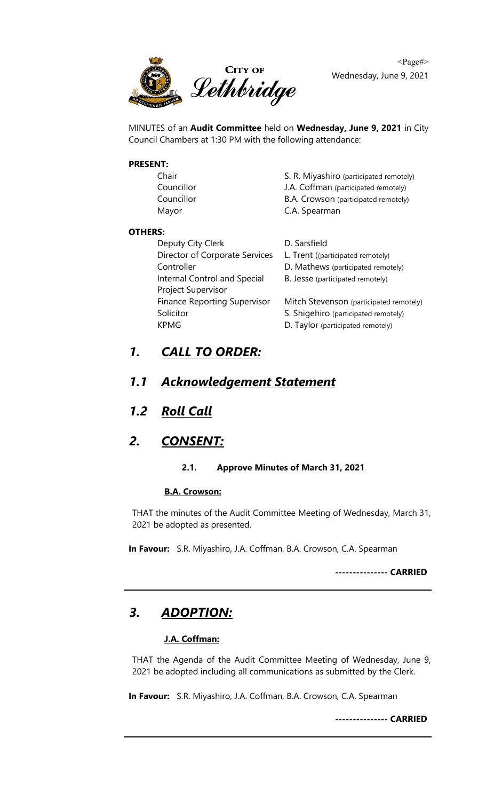

MINUTES of an **Audit Committee** held on **Wednesday, June 9, 2021** in City Council Chambers at 1:30 PM with the following attendance:

#### **PRESENT:**

| Chair             | S. R. Miyashiro (participated remotely) |
|-------------------|-----------------------------------------|
| Councillor        | J.A. Coffman (participated remotely)    |
| Councillor        | B.A. Crowson (participated remotely)    |
| Mayor             | C.A. Spearman                           |
| S:                |                                         |
| Deputy City Clerk | D. Sarsfield                            |
|                   |                                         |

**OTHERS:**

Director of Corporate Services L. Trent ((participated remotely) Internal Control and Special Project Supervisor Solicitor Solicitor S. Shigehiro (participated remotely) KPMG **D. Taylor** (participated remotely)

- 
- Controller **Controller** D. Mathews (participated remotely)
	- B. Jesse (participated remotely)

Finance Reporting Supervisor Mitch Stevenson (participated remotely)

# *1. CALL TO ORDER:*

# *1.1 Acknowledgement Statement*

# *1.2 Roll Call*

# *2. CONSENT:*

### **2.1. Approve Minutes of March 31, 2021**

### **B.A. Crowson:**

THAT the minutes of the Audit Committee Meeting of Wednesday, March 31, 2021 be adopted as presented.

**In Favour:** S.R. Miyashiro, J.A. Coffman, B.A. Crowson, C.A. Spearman

**--------------- CARRIED**

# *3. ADOPTION:*

### **J.A. Coffman:**

THAT the Agenda of the Audit Committee Meeting of Wednesday, June 9, 2021 be adopted including all communications as submitted by the Clerk.

**In Favour:** S.R. Miyashiro, J.A. Coffman, B.A. Crowson, C.A. Spearman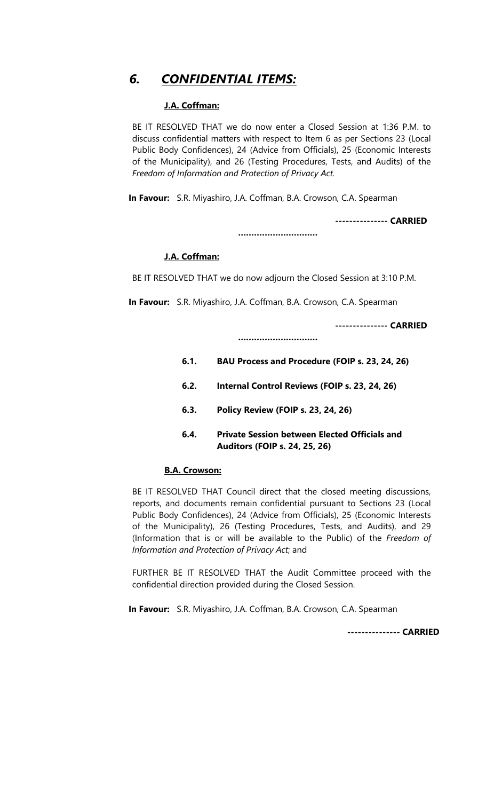# *6. CONFIDENTIAL ITEMS:*

### **J.A. Coffman:**

BE IT RESOLVED THAT we do now enter a Closed Session at 1:36 P.M. to discuss confidential matters with respect to Item 6 as per Sections 23 (Local Public Body Confidences), 24 (Advice from Officials), 25 (Economic Interests of the Municipality), and 26 (Testing Procedures, Tests, and Audits) of the *Freedom of Information and Protection of Privacy Act.*

**In Favour:** S.R. Miyashiro, J.A. Coffman, B.A. Crowson, C.A. Spearman

**--------------- CARRIED**

**…………………………**

### **J.A. Coffman:**

BE IT RESOLVED THAT we do now adjourn the Closed Session at 3:10 P.M.

**In Favour:** S.R. Miyashiro, J.A. Coffman, B.A. Crowson, C.A. Spearman

**--------------- CARRIED**

**…………………………**

- **6.1. BAU Process and Procedure (FOIP s. 23, 24, 26)**
- **6.2. Internal Control Reviews (FOIP s. 23, 24, 26)**
- **6.3. Policy Review (FOIP s. 23, 24, 26)**
- **6.4. Private Session between Elected Officials and Auditors (FOIP s. 24, 25, 26)**

#### **B.A. Crowson:**

BE IT RESOLVED THAT Council direct that the closed meeting discussions, reports, and documents remain confidential pursuant to Sections 23 (Local Public Body Confidences), 24 (Advice from Officials), 25 (Economic Interests of the Municipality), 26 (Testing Procedures, Tests, and Audits), and 29 (Information that is or will be available to the Public) of the *Freedom of Information and Protection of Privacy Act*; and

FURTHER BE IT RESOLVED THAT the Audit Committee proceed with the confidential direction provided during the Closed Session.

**In Favour:** S.R. Miyashiro, J.A. Coffman, B.A. Crowson, C.A. Spearman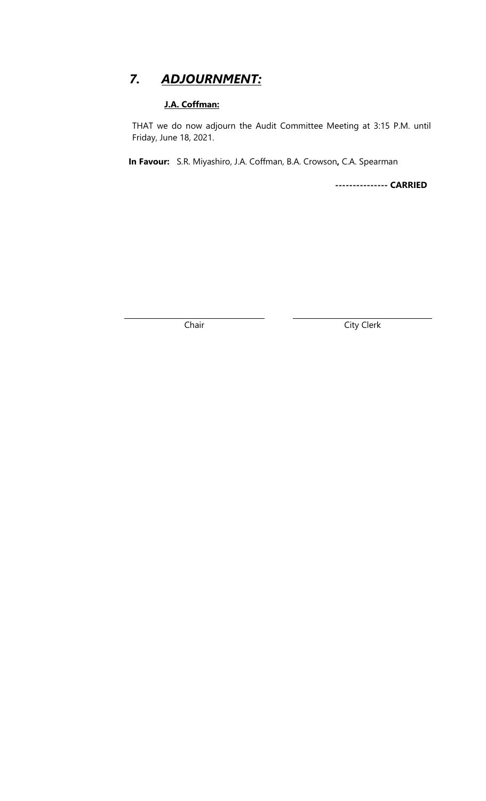# *7. ADJOURNMENT:*

### **J.A. Coffman:**

THAT we do now adjourn the Audit Committee Meeting at 3:15 P.M. until Friday, June 18, 2021.

**In Favour:** S.R. Miyashiro, J.A. Coffman, B.A. Crowson**,** C.A. Spearman

**--------------- CARRIED**

Chair City Clerk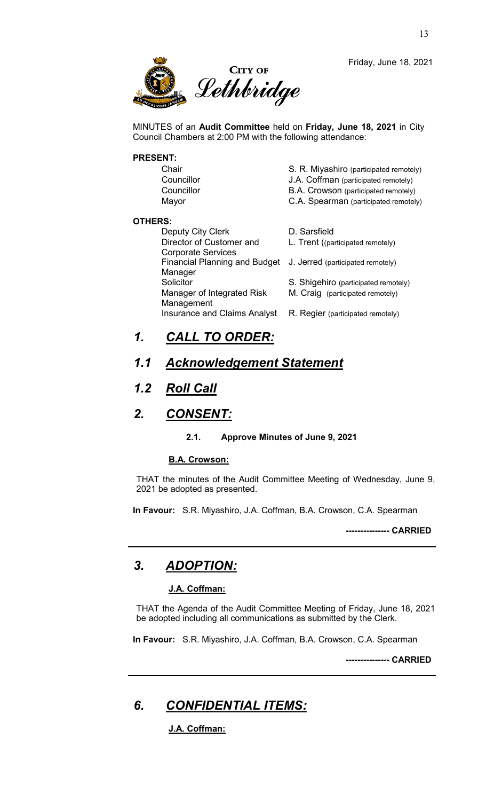

Friday, June 18, 2021

MINUTES of an **Audit Committee** held on **Friday, June 18, 2021** in City Council Chambers at 2:00 PM with the following attendance:

#### **PRESENT:**

|                | Chair                                | S. R. Miyashiro (participated remotely) |
|----------------|--------------------------------------|-----------------------------------------|
|                | Councillor                           | J.A. Coffman (participated remotely)    |
|                | Councillor                           | B.A. Crowson (participated remotely)    |
|                | Mayor                                | C.A. Spearman (participated remotely)   |
| <b>OTHERS:</b> |                                      |                                         |
|                | Deputy City Clerk                    | D. Sarsfield                            |
|                | Director of Customer and             | L. Trent ((participated remotely)       |
|                | <b>Corporate Services</b>            |                                         |
|                | <b>Financial Planning and Budget</b> | J. Jerred (participated remotely)       |
|                | Manager                              |                                         |
|                | Solicitor                            | S. Shigehiro (participated remotely)    |
|                | Manager of Integrated Risk           | M. Craig (participated remotely)        |
|                | Management                           |                                         |
|                | <b>Insurance and Claims Analyst</b>  | R. Regier (participated remotely)       |
|                |                                      |                                         |

# *1. CALL TO ORDER:*

### *1.1 Acknowledgement Statement*

### *1.2 Roll Call*

### *2. CONSENT:*

#### **2.1. Approve Minutes of June 9, 2021**

#### **B.A. Crowson:**

THAT the minutes of the Audit Committee Meeting of Wednesday, June 9, 2021 be adopted as presented.

**In Favour:** S.R. Miyashiro, J.A. Coffman, B.A. Crowson, C.A. Spearman

**--------------- CARRIED**

### *3. ADOPTION:*

#### **J.A. Coffman:**

THAT the Agenda of the Audit Committee Meeting of Friday, June 18, 2021 be adopted including all communications as submitted by the Clerk.

**In Favour:** S.R. Miyashiro, J.A. Coffman, B.A. Crowson, C.A. Spearman

**--------------- CARRIED**

# *6. CONFIDENTIAL ITEMS:*

**J.A. Coffman:**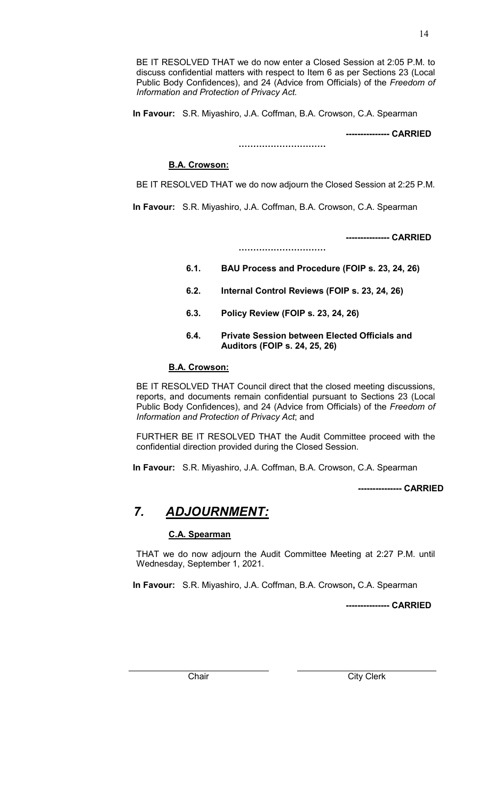BE IT RESOLVED THAT we do now enter a Closed Session at 2:05 P.M. to discuss confidential matters with respect to Item 6 as per Sections 23 (Local Public Body Confidences), and 24 (Advice from Officials) of the *Freedom of Information and Protection of Privacy Act.*

**In Favour:** S.R. Miyashiro, J.A. Coffman, B.A. Crowson, C.A. Spearman

**…………………………**

**--------------- CARRIED**

#### **B.A. Crowson:**

BE IT RESOLVED THAT we do now adjourn the Closed Session at 2:25 P.M.

**In Favour:** S.R. Miyashiro, J.A. Coffman, B.A. Crowson, C.A. Spearman

**…………………………**

**--------------- CARRIED**

- **6.1. BAU Process and Procedure (FOIP s. 23, 24, 26)**
- **6.2. Internal Control Reviews (FOIP s. 23, 24, 26)**
- **6.3. Policy Review (FOIP s. 23, 24, 26)**
- **6.4. Private Session between Elected Officials and Auditors (FOIP s. 24, 25, 26)**

#### **B.A. Crowson:**

BE IT RESOLVED THAT Council direct that the closed meeting discussions, reports, and documents remain confidential pursuant to Sections 23 (Local Public Body Confidences), and 24 (Advice from Officials) of the *Freedom of Information and Protection of Privacy Act*; and

FURTHER BE IT RESOLVED THAT the Audit Committee proceed with the confidential direction provided during the Closed Session.

**In Favour:** S.R. Miyashiro, J.A. Coffman, B.A. Crowson, C.A. Spearman

**--------------- CARRIED**

# *7. ADJOURNMENT:*

#### **C.A. Spearman**

THAT we do now adjourn the Audit Committee Meeting at 2:27 P.M. until Wednesday, September 1, 2021.

**In Favour:** S.R. Miyashiro, J.A. Coffman, B.A. Crowson**,** C.A. Spearman

**--------------- CARRIED**

Chair City Clerk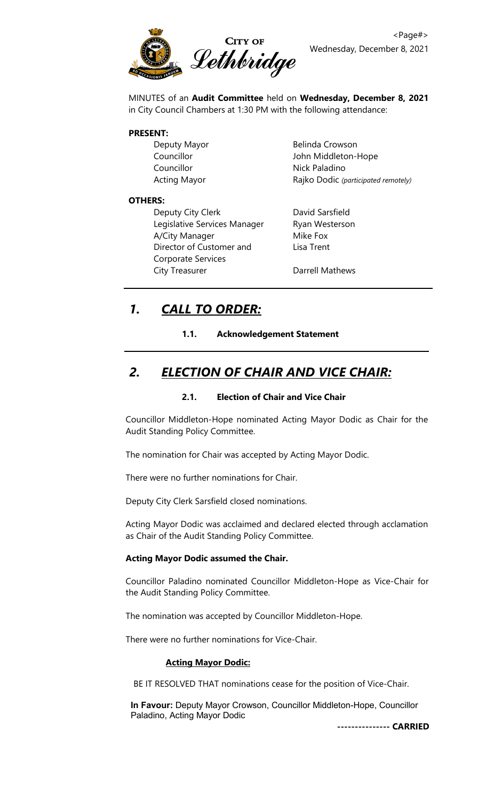

MINUTES of an **Audit Committee** held on **Wednesday, December 8, 2021**  in City Council Chambers at 1:30 PM with the following attendance:

#### **PRESENT:**

Deputy Mayor **Belinda Crowson** Councillor John Middleton-Hope Councillor **Nick Paladino** 

Acting Mayor **Rajko Dodic** (participated remotely)

#### **OTHERS:**

Deputy City Clerk David Sarsfield Legislative Services Manager Ryan Westerson A/City Manager Mike Fox Director of Customer and Corporate Services City Treasurer **Darrell Mathews** 

Lisa Trent

# *1. CALL TO ORDER:*

### **1.1. Acknowledgement Statement**

# *2. ELECTION OF CHAIR AND VICE CHAIR:*

### **2.1. Election of Chair and Vice Chair**

Councillor Middleton-Hope nominated Acting Mayor Dodic as Chair for the Audit Standing Policy Committee.

The nomination for Chair was accepted by Acting Mayor Dodic.

There were no further nominations for Chair.

Deputy City Clerk Sarsfield closed nominations.

Acting Mayor Dodic was acclaimed and declared elected through acclamation as Chair of the Audit Standing Policy Committee.

### **Acting Mayor Dodic assumed the Chair.**

Councillor Paladino nominated Councillor Middleton-Hope as Vice-Chair for the Audit Standing Policy Committee.

The nomination was accepted by Councillor Middleton-Hope.

There were no further nominations for Vice-Chair.

#### **Acting Mayor Dodic:**

BE IT RESOLVED THAT nominations cease for the position of Vice-Chair.

**In Favour:** Deputy Mayor Crowson, Councillor Middleton-Hope, Councillor Paladino, Acting Mayor Dodic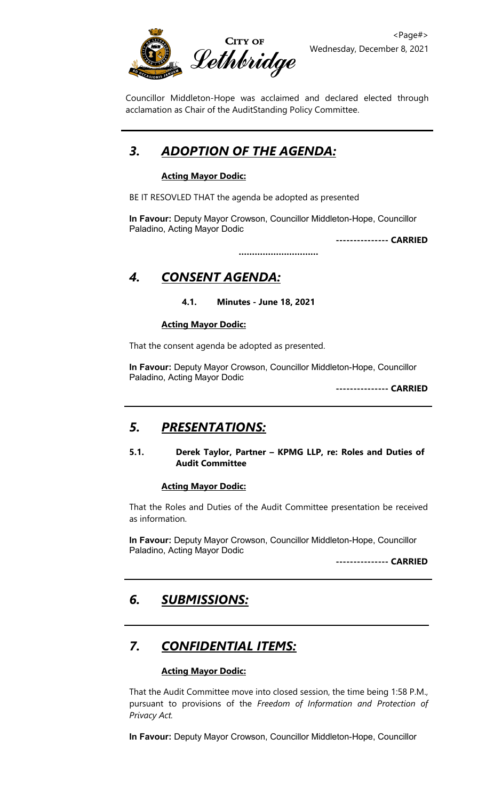

Councillor Middleton-Hope was acclaimed and declared elected through acclamation as Chair of the AuditStanding Policy Committee.

# *3. ADOPTION OF THE AGENDA:*

#### **Acting Mayor Dodic:**

BE IT RESOVLED THAT the agenda be adopted as presented

**In Favour:** Deputy Mayor Crowson, Councillor Middleton-Hope, Councillor Paladino, Acting Mayor Dodic

**…………………………**

**--------------- CARRIED**

# *4. CONSENT AGENDA:*

**4.1. Minutes - June 18, 2021**

#### **Acting Mayor Dodic:**

That the consent agenda be adopted as presented.

**In Favour:** Deputy Mayor Crowson, Councillor Middleton-Hope, Councillor Paladino, Acting Mayor Dodic

**--------------- CARRIED**

# *5. PRESENTATIONS:*

#### **5.1. Derek Taylor, Partner – KPMG LLP, re: Roles and Duties of Audit Committee**

#### **Acting Mayor Dodic:**

That the Roles and Duties of the Audit Committee presentation be received as information.

**In Favour:** Deputy Mayor Crowson, Councillor Middleton-Hope, Councillor Paladino, Acting Mayor Dodic

**--------------- CARRIED**

# *6. SUBMISSIONS:*

# *7. CONFIDENTIAL ITEMS:*

### **Acting Mayor Dodic:**

That the Audit Committee move into closed session, the time being 1:58 P.M., pursuant to provisions of the *Freedom of Information and Protection of Privacy Act.*

**In Favour:** Deputy Mayor Crowson, Councillor Middleton-Hope, Councillor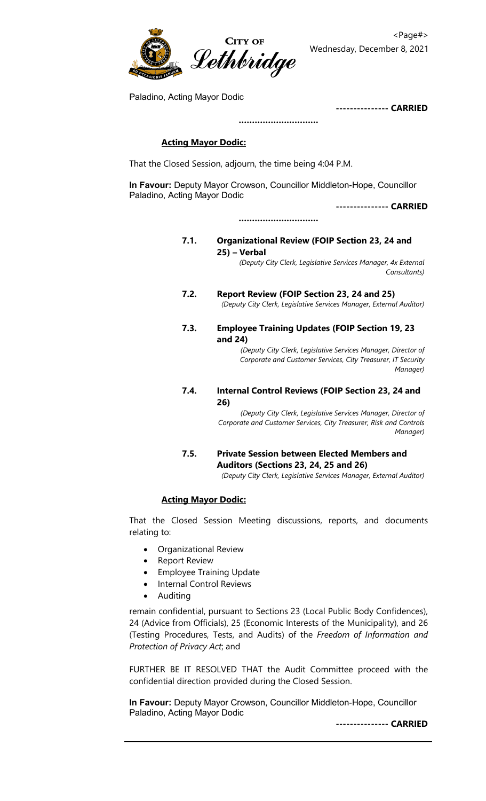

Paladino, Acting Mayor Dodic

**--------------- CARRIED**

#### **Acting Mayor Dodic:**

That the Closed Session, adjourn, the time being 4:04 P.M.

**In Favour:** Deputy Mayor Crowson, Councillor Middleton-Hope, Councillor Paladino, Acting Mayor Dodic

**…………………………**

**…………………………**

**--------------- CARRIED**

### **7.1. Organizational Review (FOIP Section 23, 24 and 25) – Verbal**

*(Deputy City Clerk, Legislative Services Manager, 4x External Consultants)*

**7.2. Report Review (FOIP Section 23, 24 and 25)** *(Deputy City Clerk, Legislative Services Manager, External Auditor)* 

### **7.3. Employee Training Updates (FOIP Section 19, 23 and 24)**

*(Deputy City Clerk, Legislative Services Manager, Director of Corporate and Customer Services, City Treasurer, IT Security Manager)* 

### **7.4. Internal Control Reviews (FOIP Section 23, 24 and 26)**

*(Deputy City Clerk, Legislative Services Manager, Director of Corporate and Customer Services, City Treasurer, Risk and Controls Manager)*

### **7.5. Private Session between Elected Members and Auditors (Sections 23, 24, 25 and 26)**

*(Deputy City Clerk, Legislative Services Manager, External Auditor)*

### **Acting Mayor Dodic:**

That the Closed Session Meeting discussions, reports, and documents relating to:

- Organizational Review
- **Report Review**
- Employee Training Update
- Internal Control Reviews
- **Auditing**

remain confidential, pursuant to Sections 23 (Local Public Body Confidences), 24 (Advice from Officials), 25 (Economic Interests of the Municipality), and 26 (Testing Procedures, Tests, and Audits) of the *Freedom of Information and Protection of Privacy Act*; and

FURTHER BE IT RESOLVED THAT the Audit Committee proceed with the confidential direction provided during the Closed Session.

**In Favour:** Deputy Mayor Crowson, Councillor Middleton-Hope, Councillor Paladino, Acting Mayor Dodic